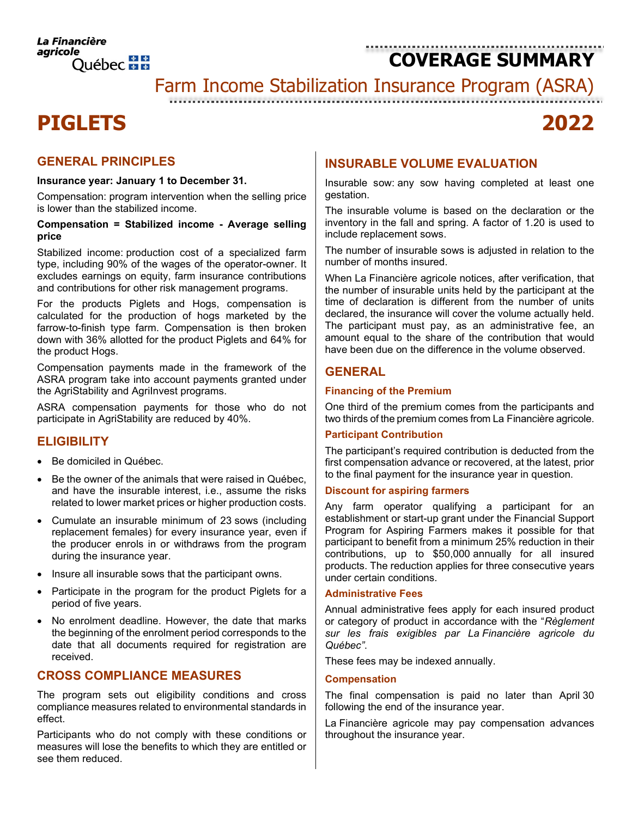La Financière agricole Québec **FE** 

## **COVERAGE SUMMARY**

Farm Income Stabilization Insurance Program (ASRA)

# **PIGLETS 2022**

## **GENERAL PRINCIPLES**

#### **Insurance year: January 1 to December 31.**

Compensation: program intervention when the selling price is lower than the stabilized income.

#### **Compensation = Stabilized income - Average selling price**

Stabilized income: production cost of a specialized farm type, including 90% of the wages of the operator-owner. It excludes earnings on equity, farm insurance contributions and contributions for other risk management programs.

For the products Piglets and Hogs, compensation is calculated for the production of hogs marketed by the farrow-to-finish type farm. Compensation is then broken down with 36% allotted for the product Piglets and 64% for the product Hogs.

Compensation payments made in the framework of the ASRA program take into account payments granted under the AgriStability and Agrilnvest programs.

ASRA compensation payments for those who do not participate in AgriStability are reduced by 40%.

### **ELIGIBILITY**

- Be domiciled in Québec.
- Be the owner of the animals that were raised in Québec, and have the insurable interest, i.e., assume the risks related to lower market prices or higher production costs.
- Cumulate an insurable minimum of 23 sows (including replacement females) for every insurance year, even if the producer enrols in or withdraws from the program during the insurance year.
- Insure all insurable sows that the participant owns.
- Participate in the program for the product Piglets for a period of five years.
- No enrolment deadline. However, the date that marks the beginning of the enrolment period corresponds to the date that all documents required for registration are received.

### **CROSS COMPLIANCE MEASURES**

The program sets out eligibility conditions and cross compliance measures related to environmental standards in effect.

Participants who do not comply with these conditions or measures will lose the benefits to which they are entitled or see them reduced.

## **INSURABLE VOLUME EVALUATION**

Insurable sow: any sow having completed at least one gestation.

The insurable volume is based on the declaration or the inventory in the fall and spring. A factor of 1.20 is used to include replacement sows.

The number of insurable sows is adjusted in relation to the number of months insured.

When La Financière agricole notices, after verification, that the number of insurable units held by the participant at the time of declaration is different from the number of units declared, the insurance will cover the volume actually held. The participant must pay, as an administrative fee, an amount equal to the share of the contribution that would have been due on the difference in the volume observed.

## **GENERAL**

#### **Financing of the Premium**

One third of the premium comes from the participants and two thirds of the premium comes from La Financière agricole.

#### **Participant Contribution**

The participant's required contribution is deducted from the first compensation advance or recovered, at the latest, prior to the final payment for the insurance year in question.

#### **Discount for aspiring farmers**

Any farm operator qualifying a participant for an establishment or start-up grant under the Financial Support Program for Aspiring Farmers makes it possible for that participant to benefit from a minimum 25% reduction in their contributions, up to \$50,000 annually for all insured products. The reduction applies for three consecutive years under certain conditions.

#### **Administrative Fees**

Annual administrative fees apply for each insured product or category of product in accordance with the "*Règlement sur les frais exigibles par La Financière agricole du Québec"*.

These fees may be indexed annually.

#### **Compensation**

The final compensation is paid no later than April 30 following the end of the insurance year.

La Financière agricole may pay compensation advances throughout the insurance year.